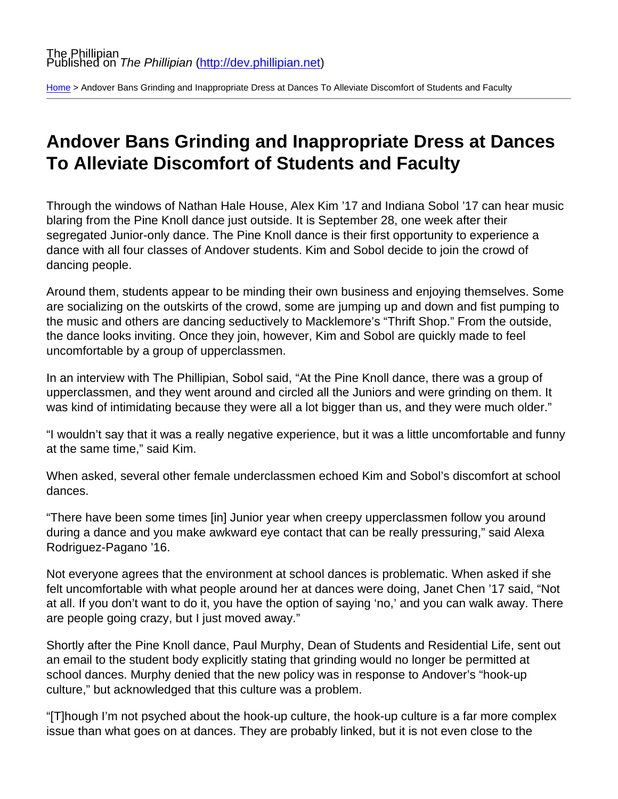[Home](http://dev.phillipian.net/) > Andover Bans Grinding and Inappropriate Dress at Dances To Alleviate Discomfort of Students and Faculty

## Andover Bans Grinding and Inappropriate Dress at Dances To Alleviate Discomfort of Students and Faculty

Through the windows of Nathan Hale House, Alex Kim '17 and Indiana Sobol '17 can hear music blaring from the Pine Knoll dance just outside. It is September 28, one week after their segregated Junior-only dance. The Pine Knoll dance is their first opportunity to experience a dance with all four classes of Andover students. Kim and Sobol decide to join the crowd of dancing people.

Around them, students appear to be minding their own business and enjoying themselves. Some are socializing on the outskirts of the crowd, some are jumping up and down and fist pumping to the music and others are dancing seductively to Macklemore's "Thrift Shop." From the outside, the dance looks inviting. Once they join, however, Kim and Sobol are quickly made to feel uncomfortable by a group of upperclassmen.

In an interview with The Phillipian, Sobol said, "At the Pine Knoll dance, there was a group of upperclassmen, and they went around and circled all the Juniors and were grinding on them. It was kind of intimidating because they were all a lot bigger than us, and they were much older."

"I wouldn't say that it was a really negative experience, but it was a little uncomfortable and funny at the same time," said Kim.

When asked, several other female underclassmen echoed Kim and Sobol's discomfort at school dances.

"There have been some times [in] Junior year when creepy upperclassmen follow you around during a dance and you make awkward eye contact that can be really pressuring," said Alexa Rodriguez-Pagano '16.

Not everyone agrees that the environment at school dances is problematic. When asked if she felt uncomfortable with what people around her at dances were doing, Janet Chen '17 said, "Not at all. If you don't want to do it, you have the option of saying 'no,' and you can walk away. There are people going crazy, but I just moved away."

Shortly after the Pine Knoll dance, Paul Murphy, Dean of Students and Residential Life, sent out an email to the student body explicitly stating that grinding would no longer be permitted at school dances. Murphy denied that the new policy was in response to Andover's "hook-up culture," but acknowledged that this culture was a problem.

"[T]hough I'm not psyched about the hook-up culture, the hook-up culture is a far more complex issue than what goes on at dances. They are probably linked, but it is not even close to the